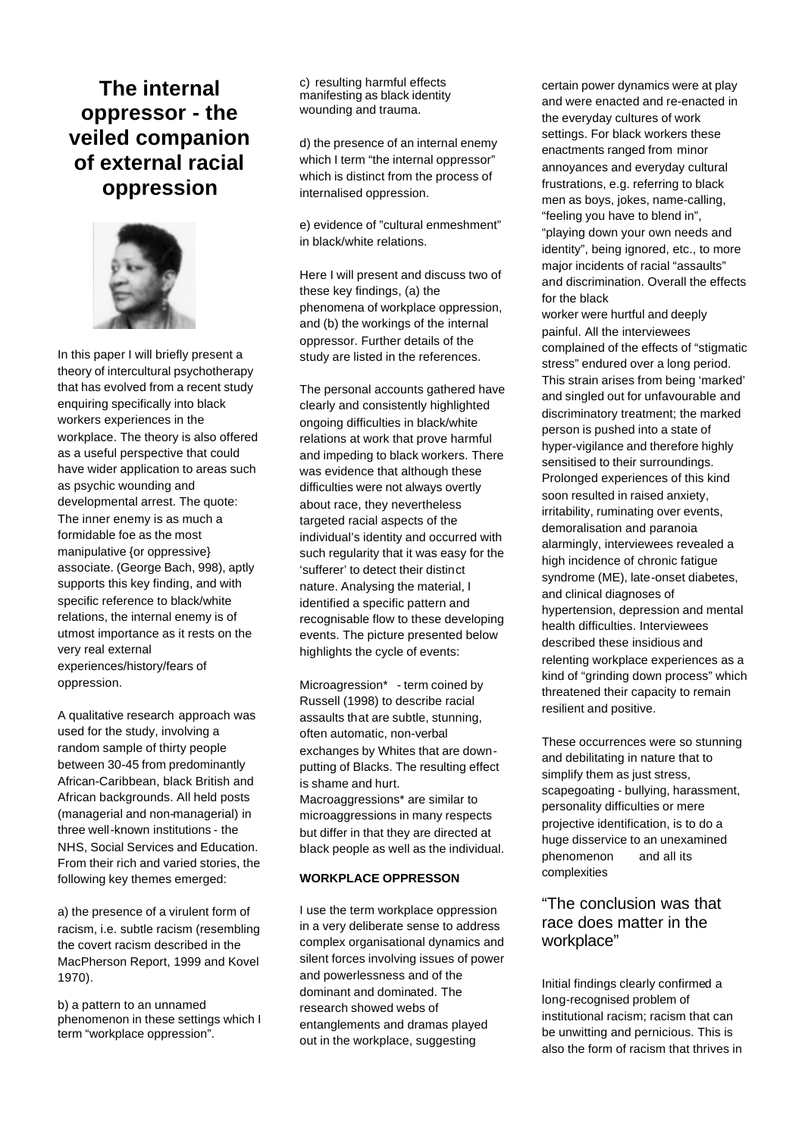# **The internal oppressor - the veiled companion of external racial oppression**



In this paper I will briefly present a theory of intercultural psychotherapy that has evolved from a recent study enquiring specifically into black workers experiences in the workplace. The theory is also offered as a useful perspective that could have wider application to areas such as psychic wounding and developmental arrest. The quote: The inner enemy is as much a formidable foe as the most manipulative {or oppressive} associate. (George Bach, 998), aptly supports this key finding, and with specific reference to black/white relations, the internal enemy is of utmost importance as it rests on the very real external experiences/history/fears of oppression.

A qualitative research approach was used for the study, involving a random sample of thirty people between 30-45 from predominantly African-Caribbean, black British and African backgrounds. All held posts (managerial and non-managerial) in three well-known institutions - the NHS, Social Services and Education. From their rich and varied stories, the following key themes emerged:

a) the presence of a virulent form of racism, i.e. subtle racism (resembling the covert racism described in the MacPherson Report, 1999 and Kovel 1970).

b) a pattern to an unnamed phenomenon in these settings which I term "workplace oppression".

c) resulting harmful effects manifesting as black identity wounding and trauma.

d) the presence of an internal enemy which I term "the internal oppressor" which is distinct from the process of internalised oppression.

e) evidence of "cultural enmeshment" in black/white relations.

Here I will present and discuss two of these key findings, (a) the phenomena of workplace oppression, and (b) the workings of the internal oppressor. Further details of the study are listed in the references.

The personal accounts gathered have clearly and consistently highlighted ongoing difficulties in black/white relations at work that prove harmful and impeding to black workers. There was evidence that although these difficulties were not always overtly about race, they nevertheless targeted racial aspects of the individual's identity and occurred with such regularity that it was easy for the 'sufferer' to detect their distinct nature. Analysing the material, I identified a specific pattern and recognisable flow to these developing events. The picture presented below highlights the cycle of events:

Microagression\* - term coined by Russell (1998) to describe racial assaults that are subtle, stunning, often automatic, non-verbal exchanges by Whites that are downputting of Blacks. The resulting effect is shame and hurt. Macroaggressions\* are similar to microaggressions in many respects but differ in that they are directed at black people as well as the individual.

## **WORKPLACE OPPRESSON**

I use the term workplace oppression in a very deliberate sense to address complex organisational dynamics and silent forces involving issues of power and powerlessness and of the dominant and dominated. The research showed webs of entanglements and dramas played out in the workplace, suggesting

certain power dynamics were at play and were enacted and re-enacted in the everyday cultures of work settings. For black workers these enactments ranged from minor annoyances and everyday cultural frustrations, e.g. referring to black men as boys, jokes, name-calling, "feeling you have to blend in", "playing down your own needs and identity", being ignored, etc., to more major incidents of racial "assaults" and discrimination. Overall the effects for the black

worker were hurtful and deeply painful. All the interviewees complained of the effects of "stigmatic stress" endured over a long period. This strain arises from being 'marked' and singled out for unfavourable and discriminatory treatment; the marked person is pushed into a state of hyper-vigilance and therefore highly sensitised to their surroundings. Prolonged experiences of this kind soon resulted in raised anxiety, irritability, ruminating over events, demoralisation and paranoia alarmingly, interviewees revealed a high incidence of chronic fatigue syndrome (ME), late-onset diabetes, and clinical diagnoses of hypertension, depression and mental health difficulties. Interviewees described these insidious and relenting workplace experiences as a kind of "grinding down process" which threatened their capacity to remain resilient and positive.

These occurrences were so stunning and debilitating in nature that to simplify them as just stress, scapegoating - bullying, harassment, personality difficulties or mere projective identification, is to do a huge disservice to an unexamined phenomenon and all its complexities

# "The conclusion was that race does matter in the workplace"

Initial findings clearly confirmed a long-recognised problem of institutional racism; racism that can be unwitting and pernicious. This is also the form of racism that thrives in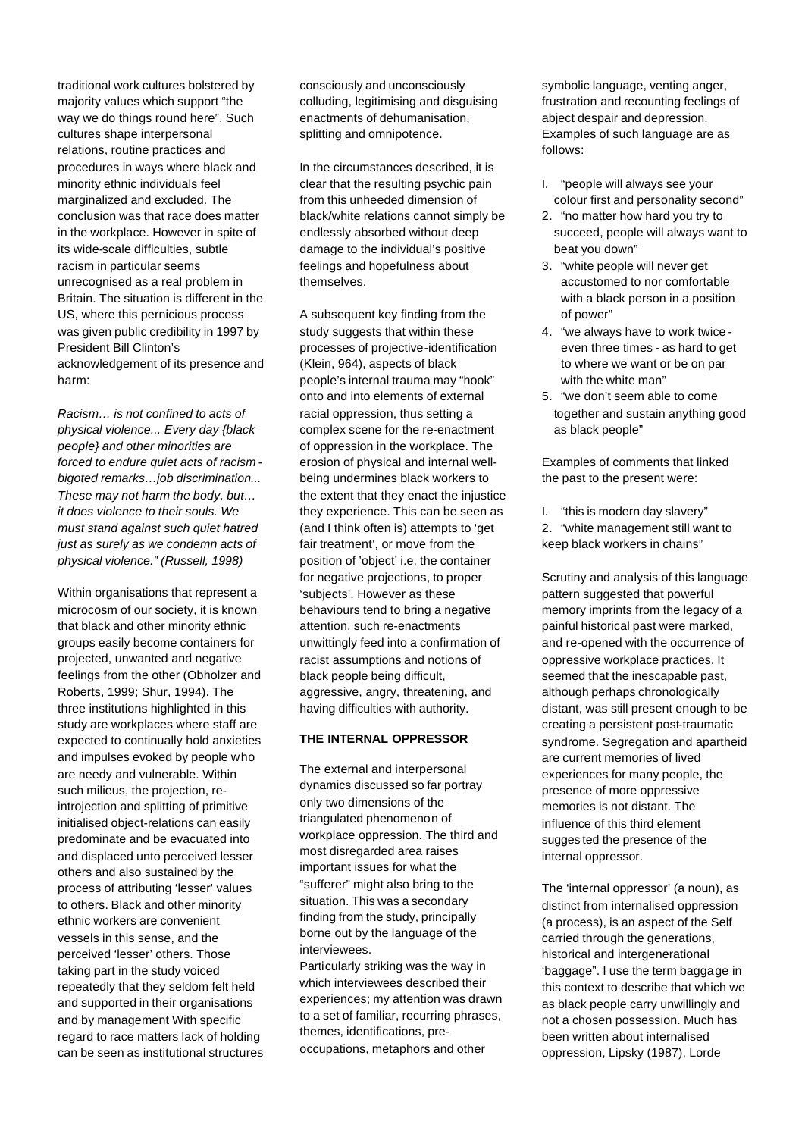traditional work cultures bolstered by majority values which support "the way we do things round here". Such cultures shape interpersonal relations, routine practices and procedures in ways where black and minority ethnic individuals feel marginalized and excluded. The conclusion was that race does matter in the workplace. However in spite of its wide-scale difficulties, subtle racism in particular seems unrecognised as a real problem in Britain. The situation is different in the US, where this pernicious process was given public credibility in 1997 by President Bill Clinton's acknowledgement of its presence and harm:

*Racism… is not confined to acts of physical violence... Every day {black people} and other minorities are forced to endure quiet acts of racism bigoted remarks…job discrimination... These may not harm the body, but… it does violence to their souls. We must stand against such quiet hatred just as surely as we condemn acts of physical violence." (Russell, 1998)*

Within organisations that represent a microcosm of our society, it is known that black and other minority ethnic groups easily become containers for projected, unwanted and negative feelings from the other (Obholzer and Roberts, 1999; Shur, 1994). The three institutions highlighted in this study are workplaces where staff are expected to continually hold anxieties and impulses evoked by people who are needy and vulnerable. Within such milieus, the projection, reintrojection and splitting of primitive initialised object-relations can easily predominate and be evacuated into and displaced unto perceived lesser others and also sustained by the process of attributing 'lesser' values to others. Black and other minority ethnic workers are convenient vessels in this sense, and the perceived 'lesser' others. Those taking part in the study voiced repeatedly that they seldom felt held and supported in their organisations and by management With specific regard to race matters lack of holding can be seen as institutional structures consciously and unconsciously colluding, legitimising and disguising enactments of dehumanisation, splitting and omnipotence.

In the circumstances described, it is clear that the resulting psychic pain from this unheeded dimension of black/white relations cannot simply be endlessly absorbed without deep damage to the individual's positive feelings and hopefulness about themselves.

A subsequent key finding from the study suggests that within these processes of projective-identification (Klein, 964), aspects of black people's internal trauma may "hook" onto and into elements of external racial oppression, thus setting a complex scene for the re-enactment of oppression in the workplace. The erosion of physical and internal wellbeing undermines black workers to the extent that they enact the injustice they experience. This can be seen as (and I think often is) attempts to 'get fair treatment', or move from the position of 'object' i.e. the container for negative projections, to proper 'subjects'. However as these behaviours tend to bring a negative attention, such re-enactments unwittingly feed into a confirmation of racist assumptions and notions of black people being difficult, aggressive, angry, threatening, and having difficulties with authority.

#### **THE INTERNAL OPPRESSOR**

The external and interpersonal dynamics discussed so far portray only two dimensions of the triangulated phenomenon of workplace oppression. The third and most disregarded area raises important issues for what the "sufferer" might also bring to the situation. This was a secondary finding from the study, principally borne out by the language of the interviewees.

Particularly striking was the way in which interviewees described their experiences; my attention was drawn to a set of familiar, recurring phrases, themes, identifications, preoccupations, metaphors and other

symbolic language, venting anger, frustration and recounting feelings of abject despair and depression. Examples of such language are as follows:

- I. "people will always see your colour first and personality second"
- 2. "no matter how hard you try to succeed, people will always want to beat you down"
- 3. "white people will never get accustomed to nor comfortable with a black person in a position of power"
- 4. "we always have to work twice even three times - as hard to get to where we want or be on par with the white man"
- 5. "we don't seem able to come together and sustain anything good as black people"

Examples of comments that linked the past to the present were:

I. "this is modern day slavery" 2. "white management still want to keep black workers in chains"

Scrutiny and analysis of this language pattern suggested that powerful memory imprints from the legacy of a painful historical past were marked, and re-opened with the occurrence of oppressive workplace practices. It seemed that the inescapable past, although perhaps chronologically distant, was still present enough to be creating a persistent post-traumatic syndrome. Segregation and apartheid are current memories of lived experiences for many people, the presence of more oppressive memories is not distant. The influence of this third element sugges ted the presence of the internal oppressor.

The 'internal oppressor' (a noun), as distinct from internalised oppression (a process), is an aspect of the Self carried through the generations, historical and intergenerational 'baggage". I use the term baggage in this context to describe that which we as black people carry unwillingly and not a chosen possession. Much has been written about internalised oppression, Lipsky (1987), Lorde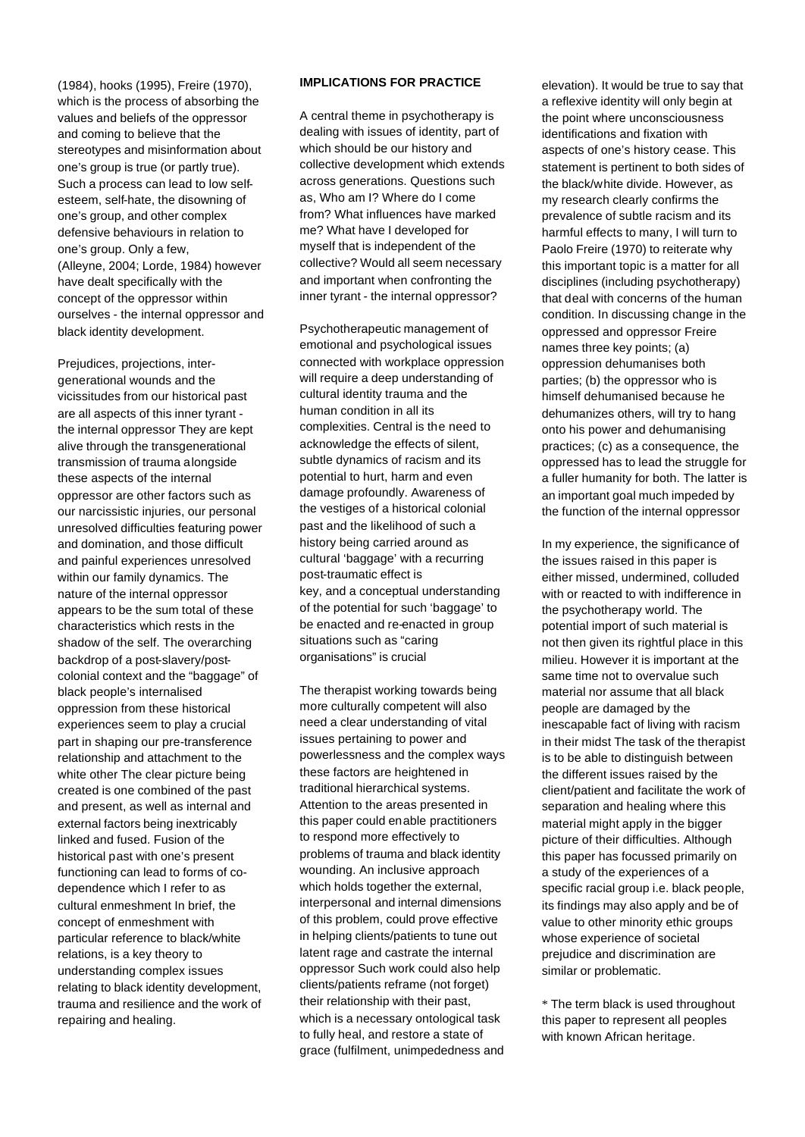(1984), hooks (1995), Freire (1970), which is the process of absorbing the values and beliefs of the oppressor and coming to believe that the stereotypes and misinformation about one's group is true (or partly true). Such a process can lead to low selfesteem, self-hate, the disowning of one's group, and other complex defensive behaviours in relation to one's group. Only a few, (Alleyne, 2004; Lorde, 1984) however have dealt specifically with the concept of the oppressor within ourselves - the internal oppressor and black identity development.

Prejudices, projections, intergenerational wounds and the vicissitudes from our historical past are all aspects of this inner tyrant the internal oppressor They are kept alive through the transgenerational transmission of trauma alongside these aspects of the internal oppressor are other factors such as our narcissistic injuries, our personal unresolved difficulties featuring power and domination, and those difficult and painful experiences unresolved within our family dynamics. The nature of the internal oppressor appears to be the sum total of these characteristics which rests in the shadow of the self. The overarching backdrop of a post-slavery/postcolonial context and the "baggage" of black people's internalised oppression from these historical experiences seem to play a crucial part in shaping our pre-transference relationship and attachment to the white other The clear picture being created is one combined of the past and present, as well as internal and external factors being inextricably linked and fused. Fusion of the historical past with one's present functioning can lead to forms of codependence which I refer to as cultural enmeshment In brief, the concept of enmeshment with particular reference to black/white relations, is a key theory to understanding complex issues relating to black identity development, trauma and resilience and the work of repairing and healing.

## **IMPLICATIONS FOR PRACTICE**

A central theme in psychotherapy is dealing with issues of identity, part of which should be our history and collective development which extends across generations. Questions such as, Who am I? Where do I come from? What influences have marked me? What have I developed for myself that is independent of the collective? Would all seem necessary and important when confronting the inner tyrant - the internal oppressor?

Psychotherapeutic management of emotional and psychological issues connected with workplace oppression will require a deep understanding of cultural identity trauma and the human condition in all its complexities. Central is the need to acknowledge the effects of silent, subtle dynamics of racism and its potential to hurt, harm and even damage profoundly. Awareness of the vestiges of a historical colonial past and the likelihood of such a history being carried around as cultural 'baggage' with a recurring post-traumatic effect is key, and a conceptual understanding of the potential for such 'baggage' to be enacted and re-enacted in group situations such as "caring organisations" is crucial

The therapist working towards being more culturally competent will also need a clear understanding of vital issues pertaining to power and powerlessness and the complex ways these factors are heightened in traditional hierarchical systems. Attention to the areas presented in this paper could enable practitioners to respond more effectively to problems of trauma and black identity wounding. An inclusive approach which holds together the external, interpersonal and internal dimensions of this problem, could prove effective in helping clients/patients to tune out latent rage and castrate the internal oppressor Such work could also help clients/patients reframe (not forget) their relationship with their past, which is a necessary ontological task to fully heal, and restore a state of grace (fulfilment, unimpededness and

elevation). It would be true to say that a reflexive identity will only begin at the point where unconsciousness identifications and fixation with aspects of one's history cease. This statement is pertinent to both sides of the black/white divide. However, as my research clearly confirms the prevalence of subtle racism and its harmful effects to many, I will turn to Paolo Freire (1970) to reiterate why this important topic is a matter for all disciplines (including psychotherapy) that deal with concerns of the human condition. In discussing change in the oppressed and oppressor Freire names three key points; (a) oppression dehumanises both parties; (b) the oppressor who is himself dehumanised because he dehumanizes others, will try to hang onto his power and dehumanising practices; (c) as a consequence, the oppressed has to lead the struggle for a fuller humanity for both. The latter is an important goal much impeded by the function of the internal oppressor

In my experience, the significance of the issues raised in this paper is either missed, undermined, colluded with or reacted to with indifference in the psychotherapy world. The potential import of such material is not then given its rightful place in this milieu. However it is important at the same time not to overvalue such material nor assume that all black people are damaged by the inescapable fact of living with racism in their midst The task of the therapist is to be able to distinguish between the different issues raised by the client/patient and facilitate the work of separation and healing where this material might apply in the bigger picture of their difficulties. Although this paper has focussed primarily on a study of the experiences of a specific racial group i.e. black people, its findings may also apply and be of value to other minority ethic groups whose experience of societal prejudice and discrimination are similar or problematic.

\* The term black is used throughout this paper to represent all peoples with known African heritage.